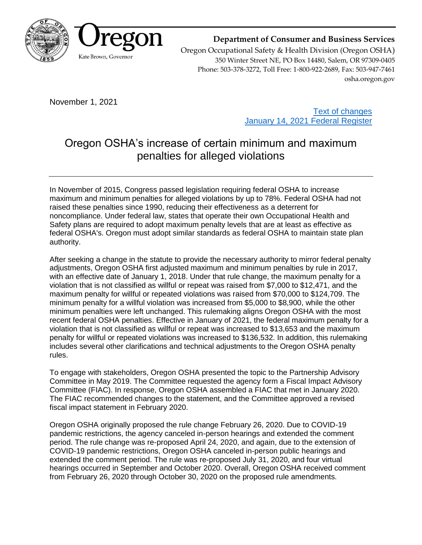

**Department of Consumer and Business Services**

Oregon Occupational Safety & Health Division (Oregon OSHA) 350 Winter Street NE, PO Box 14480, Salem, OR 97309-0405 Phone: 503-378-3272, Toll Free: 1-800-922-2689, Fax: 503-947-7461 osha.oregon.gov

November 1, 2021

[Text of changes](https://osha.oregon.gov/OSHARules/adopted/2021/ao13-2021-text-penalties.pdf) [January 14, 2021 Federal Register](https://www.govinfo.gov/content/pkg/FR-2021-01-14/pdf/2021-00018.pdf)

# Oregon OSHA's increase of certain minimum and maximum penalties for alleged violations

In November of 2015, Congress passed legislation requiring federal OSHA to increase maximum and minimum penalties for alleged violations by up to 78%. Federal OSHA had not raised these penalties since 1990, reducing their effectiveness as a deterrent for noncompliance. Under federal law, states that operate their own Occupational Health and Safety plans are required to adopt maximum penalty levels that are at least as effective as federal OSHA's. Oregon must adopt similar standards as federal OSHA to maintain state plan authority.

After seeking a change in the statute to provide the necessary authority to mirror federal penalty adjustments, Oregon OSHA first adjusted maximum and minimum penalties by rule in 2017, with an effective date of January 1, 2018. Under that rule change, the maximum penalty for a violation that is not classified as willful or repeat was raised from \$7,000 to \$12,471, and the maximum penalty for willful or repeated violations was raised from \$70,000 to \$124,709. The minimum penalty for a willful violation was increased from \$5,000 to \$8,900, while the other minimum penalties were left unchanged. This rulemaking aligns Oregon OSHA with the most recent federal OSHA penalties. Effective in January of 2021, the federal maximum penalty for a violation that is not classified as willful or repeat was increased to \$13,653 and the maximum penalty for willful or repeated violations was increased to \$136,532. In addition, this rulemaking includes several other clarifications and technical adjustments to the Oregon OSHA penalty rules.

To engage with stakeholders, Oregon OSHA presented the topic to the Partnership Advisory Committee in May 2019. The Committee requested the agency form a Fiscal Impact Advisory Committee (FIAC). In response, Oregon OSHA assembled a FIAC that met in January 2020. The FIAC recommended changes to the statement, and the Committee approved a revised fiscal impact statement in February 2020.

Oregon OSHA originally proposed the rule change February 26, 2020. Due to COVID-19 pandemic restrictions, the agency canceled in-person hearings and extended the comment period. The rule change was re-proposed April 24, 2020, and again, due to the extension of COVID-19 pandemic restrictions, Oregon OSHA canceled in-person public hearings and extended the comment period. The rule was re-proposed July 31, 2020, and four virtual hearings occurred in September and October 2020. Overall, Oregon OSHA received comment from February 26, 2020 through October 30, 2020 on the proposed rule amendments.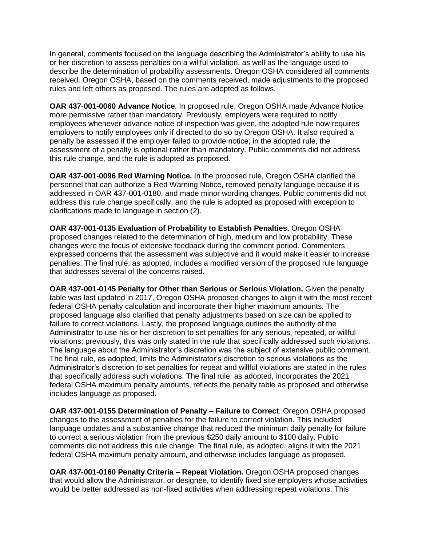In general, comments focused on the language describing the Administrator's ability to use his or her discretion to assess penalties on a willful violation, as well as the language used to describe the determination of probability assessments. Oregon OSHA considered all comments received. Oregon OSHA, based on the comments received, made adjustments to the proposed rules and left others as proposed. The rules are adopted as follows.

**OAR 437-001-0060 Advance Notice**. In proposed rule, Oregon OSHA made Advance Notice more permissive rather than mandatory. Previously, employers were required to notify employees whenever advance notice of inspection was given, the adopted rule now requires employers to notify employees only if directed to do so by Oregon OSHA. It also required a penalty be assessed if the employer failed to provide notice; in the adopted rule, the assessment of a penalty is optional rather than mandatory. Public comments did not address this rule change, and the rule is adopted as proposed.

**OAR 437-001-0096 Red Warning Notice.** In the proposed rule, Oregon OSHA clarified the personnel that can authorize a Red Warning Notice, removed penalty language because it is addressed in OAR 437-001-0180, and made minor wording changes. Public comments did not address this rule change specifically, and the rule is adopted as proposed with exception to clarifications made to language in section (2).

**OAR 437-001-0135 Evaluation of Probability to Establish Penalties.** Oregon OSHA proposed changes related to the determination of high, medium and low probability. These changes were the focus of extensive feedback during the comment period. Commenters expressed concerns that the assessment was subjective and it would make it easier to increase penalties. The final rule, as adopted, includes a modified version of the proposed rule language that addresses several of the concerns raised.

**OAR 437-001-0145 Penalty for Other than Serious or Serious Violation.** Given the penalty table was last updated in 2017, Oregon OSHA proposed changes to align it with the most recent federal OSHA penalty calculation and incorporate their higher maximum amounts. The proposed language also clarified that penalty adjustments based on size can be applied to failure to correct violations. Lastly, the proposed language outlines the authority of the Administrator to use his or her discretion to set penalties for any serious, repeated, or willful violations; previously, this was only stated in the rule that specifically addressed such violations. The language about the Administrator's discretion was the subject of extensive public comment. The final rule, as adopted, limits the Administrator's discretion to serious violations as the Administrator's discretion to set penalties for repeat and willful violations are stated in the rules that specifically address such violations. The final rule, as adopted, incorporates the 2021 federal OSHA maximum penalty amounts, reflects the penalty table as proposed and otherwise includes language as proposed.

**OAR 437-001-0155 Determination of Penalty – Failure to Correct**. Oregon OSHA proposed changes to the assessment of penalties for the failure to correct violation. This included language updates and a substantive change that reduced the minimum daily penalty for failure to correct a serious violation from the previous \$250 daily amount to \$100 daily. Public comments did not address this rule change. The final rule, as adopted, aligns it with the 2021 federal OSHA maximum penalty amount, and otherwise includes language as proposed.

**OAR 437-001-0160 Penalty Criteria – Repeat Violation.** Oregon OSHA proposed changes that would allow the Administrator, or designee, to identify fixed site employers whose activities would be better addressed as non-fixed activities when addressing repeat violations. This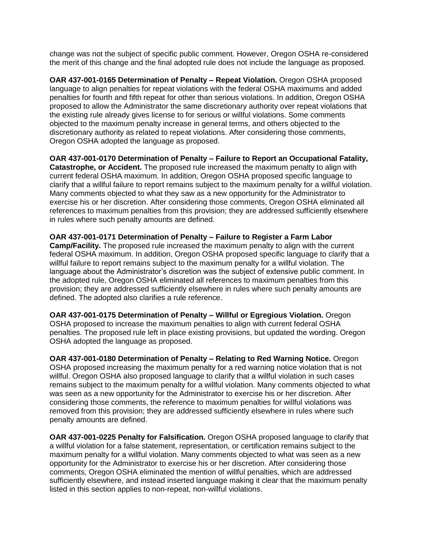change was not the subject of specific public comment. However, Oregon OSHA re-considered the merit of this change and the final adopted rule does not include the language as proposed.

**OAR 437-001-0165 Determination of Penalty – Repeat Violation.** Oregon OSHA proposed language to align penalties for repeat violations with the federal OSHA maximums and added penalties for fourth and fifth repeat for other than serious violations. In addition, Oregon OSHA proposed to allow the Administrator the same discretionary authority over repeat violations that the existing rule already gives license to for serious or willful violations. Some comments objected to the maximum penalty increase in general terms, and others objected to the discretionary authority as related to repeat violations. After considering those comments, Oregon OSHA adopted the language as proposed.

**OAR 437-001-0170 Determination of Penalty – Failure to Report an Occupational Fatality, Catastrophe, or Accident.** The proposed rule increased the maximum penalty to align with current federal OSHA maximum. In addition, Oregon OSHA proposed specific language to clarify that a willful failure to report remains subject to the maximum penalty for a willful violation. Many comments objected to what they saw as a new opportunity for the Administrator to exercise his or her discretion. After considering those comments, Oregon OSHA eliminated all references to maximum penalties from this provision; they are addressed sufficiently elsewhere in rules where such penalty amounts are defined.

**OAR 437-001-0171 Determination of Penalty – Failure to Register a Farm Labor Camp/Facility.** The proposed rule increased the maximum penalty to align with the current federal OSHA maximum. In addition, Oregon OSHA proposed specific language to clarify that a willful failure to report remains subject to the maximum penalty for a willful violation. The language about the Administrator's discretion was the subject of extensive public comment. In the adopted rule, Oregon OSHA eliminated all references to maximum penalties from this provision; they are addressed sufficiently elsewhere in rules where such penalty amounts are defined. The adopted also clarifies a rule reference.

**OAR 437-001-0175 Determination of Penalty – Willful or Egregious Violation.** Oregon OSHA proposed to increase the maximum penalties to align with current federal OSHA penalties. The proposed rule left in place existing provisions, but updated the wording. Oregon OSHA adopted the language as proposed.

**OAR 437-001-0180 Determination of Penalty – Relating to Red Warning Notice.** Oregon OSHA proposed increasing the maximum penalty for a red warning notice violation that is not willful. Oregon OSHA also proposed language to clarify that a willful violation in such cases remains subject to the maximum penalty for a willful violation. Many comments objected to what was seen as a new opportunity for the Administrator to exercise his or her discretion. After considering those comments, the reference to maximum penalties for willful violations was removed from this provision; they are addressed sufficiently elsewhere in rules where such penalty amounts are defined.

**OAR 437-001-0225 Penalty for Falsification.** Oregon OSHA proposed language to clarify that a willful violation for a false statement, representation, or certification remains subject to the maximum penalty for a willful violation. Many comments objected to what was seen as a new opportunity for the Administrator to exercise his or her discretion. After considering those comments, Oregon OSHA eliminated the mention of willful penalties, which are addressed sufficiently elsewhere, and instead inserted language making it clear that the maximum penalty listed in this section applies to non-repeat, non-willful violations.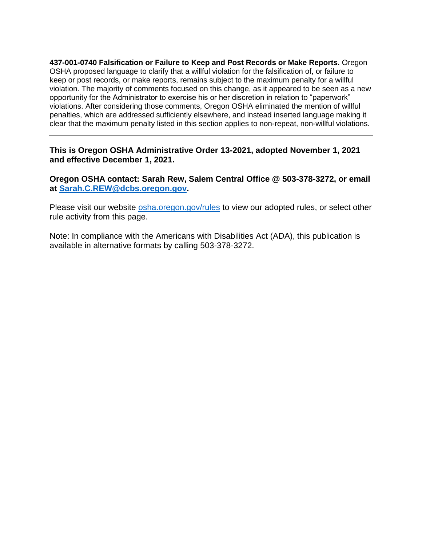**437-001-0740 Falsification or Failure to Keep and Post Records or Make Reports.** Oregon OSHA proposed language to clarify that a willful violation for the falsification of, or failure to keep or post records, or make reports, remains subject to the maximum penalty for a willful violation. The majority of comments focused on this change, as it appeared to be seen as a new opportunity for the Administrator to exercise his or her discretion in relation to "paperwork" violations. After considering those comments, Oregon OSHA eliminated the mention of willful penalties, which are addressed sufficiently elsewhere, and instead inserted language making it clear that the maximum penalty listed in this section applies to non-repeat, non-willful violations.

**This is Oregon OSHA Administrative Order 13-2021, adopted November 1, 2021 and effective December 1, 2021.**

**Oregon OSHA contact: Sarah Rew, Salem Central Office @ 503-378-3272, or email at [Sarah.C.REW@dcbs.oregon.gov.](mailto:Sarah.C.REW@dcbs.oregon.gov)**

Please visit our website [osha.oregon.gov/rules](https://osha.oregon.gov/rules/) to view our adopted rules, or select other rule activity from this page.

Note: In compliance with the Americans with Disabilities Act (ADA), this publication is available in alternative formats by calling 503-378-3272.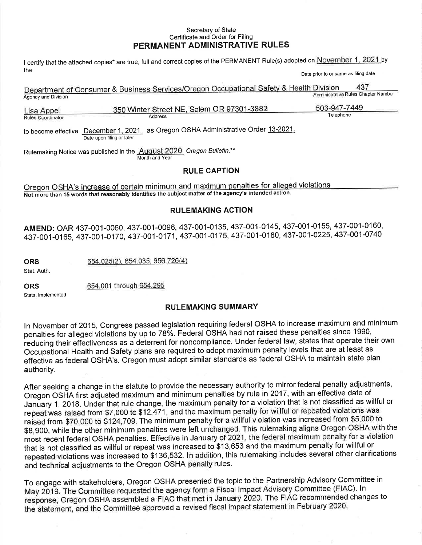#### Secretary of State Certificate and Order for Filing PERMANENT ADMINISTRATIVE RULES

I certify that the attached copies\* are true, full and correct copies of the PERMANENT Rule(s) adopted on November 1, 2021 by the Date prior to or same as filing date

|                      | Department of Consumer & Business Services/Oregon Occupational Safety & Health Division | 437                                 |
|----------------------|-----------------------------------------------------------------------------------------|-------------------------------------|
| Agency and Division  |                                                                                         | Administrative Rules Chapter Number |
| Lisa Appel           | 350 Winter Street NE, Salem OR 97301-3882                                               | 503-947-7449                        |
| Dulce Generation for | aanhh A                                                                                 | Telephone                           |

to become effective December 1, 2021 as Oregon OSHA Administrative Order 13-2021. Date upon filing or later

Address

Rulemaking Notice was published in the August 2020 Oregon Bulletin.\*\* Month and Year

#### **RULE CAPTION**

Oregon OSHA's increase of certain minimum and maximum penalties for alleged violations Not more than 15 words that reasonably identifies the subject matter of the agency's intended action.

#### **RULEMAKING ACTION**

AMEND: OAR 437-001-0060, 437-001-0096, 437-001-0135, 437-001-0145, 437-001-0155, 437-001-0160, 437-001-0165, 437-001-0170, 437-001-0171, 437-001-0175, 437-001-0180, 437-001-0225, 437-001-0740

**ORS** 

Stat. Auth.

654.025(2), 654.035, 656.726(4)

**ORS** 

Rules Coordinator

654.001 through 654.295

Stats, Implemented

#### **RULEMAKING SUMMARY**

In November of 2015, Congress passed legislation requiring federal OSHA to increase maximum and minimum penalties for alleged violations by up to 78%. Federal OSHA had not raised these penalties since 1990, reducing their effectiveness as a deterrent for noncompliance. Under federal law, states that operate their own Occupational Health and Safety plans are required to adopt maximum penalty levels that are at least as effective as federal OSHA's. Oregon must adopt similar standards as federal OSHA to maintain state plan authority.

After seeking a change in the statute to provide the necessary authority to mirror federal penalty adjustments, Oregon OSHA first adjusted maximum and minimum penalties by rule in 2017, with an effective date of January 1, 2018. Under that rule change, the maximum penalty for a violation that is not classified as willful or repeat was raised from \$7,000 to \$12,471, and the maximum penalty for willful or repeated violations was raised from \$70,000 to \$124,709. The minimum penalty for a willful violation was increased from \$5,000 to \$8,900, while the other minimum penalties were left unchanged. This rulemaking aligns Oregon OSHA with the most recent federal OSHA penalties. Effective in January of 2021, the federal maximum penalty for a violation that is not classified as willful or repeat was increased to \$13,653 and the maximum penalty for willful or repeated violations was increased to \$136,532. In addition, this rulemaking includes several other clarifications and technical adjustments to the Oregon OSHA penalty rules.

To engage with stakeholders, Oregon OSHA presented the topic to the Partnership Advisory Committee in May 2019. The Committee requested the agency form a Fiscal Impact Advisory Committee (FIAC). In response, Oregon OSHA assembled a FIAC that met in January 2020. The FIAC recommended changes to the statement, and the Committee approved a revised fiscal impact statement in February 2020.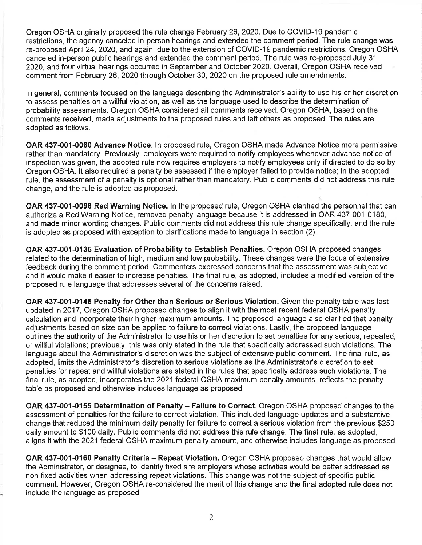Oregon OSHA originally proposed the rule change February 26, 2020. Due to COVID-19 pandemic restrictions, the agency canceled in-person hearings and extended the comment period. The rule change was re-proposed April 24, 2020, and again, due to the extension of COVID-19 pandemic restrictions, Oregon OSHA canceled in-person public hearings and extended the comment period. The rule was re-proposed July 31. 2020, and four virtual hearings occurred in September and October 2020. Overall, Oregon OSHA received comment from February 26, 2020 through October 30, 2020 on the proposed rule amendments.

In general, comments focused on the language describing the Administrator's ability to use his or her discretion to assess penalties on a willful violation, as well as the language used to describe the determination of probability assessments. Oregon OSHA considered all comments received. Oregon OSHA, based on the comments received, made adjustments to the proposed rules and left others as proposed. The rules are adopted as follows.

OAR 437-001-0060 Advance Notice. In proposed rule, Oregon OSHA made Advance Notice more permissive rather than mandatory. Previously, employers were required to notify employees whenever advance notice of inspection was given, the adopted rule now requires employers to notify employees only if directed to do so by Oregon OSHA. It also required a penalty be assessed if the employer failed to provide notice; in the adopted rule, the assessment of a penalty is optional rather than mandatory. Public comments did not address this rule change, and the rule is adopted as proposed.

OAR 437-001-0096 Red Warning Notice. In the proposed rule, Oregon OSHA clarified the personnel that can authorize a Red Warning Notice, removed penalty language because it is addressed in OAR 437-001-0180, and made minor wording changes. Public comments did not address this rule change specifically, and the rule is adopted as proposed with exception to clarifications made to language in section (2).

OAR 437-001-0135 Evaluation of Probability to Establish Penalties. Oregon OSHA proposed changes related to the determination of high, medium and low probability. These changes were the focus of extensive feedback during the comment period. Commenters expressed concerns that the assessment was subjective and it would make it easier to increase penalties. The final rule, as adopted, includes a modified version of the proposed rule language that addresses several of the concerns raised.

OAR 437-001-0145 Penalty for Other than Serious or Serious Violation. Given the penalty table was last updated in 2017, Oregon OSHA proposed changes to align it with the most recent federal OSHA penalty calculation and incorporate their higher maximum amounts. The proposed language also clarified that penalty adjustments based on size can be applied to failure to correct violations. Lastly, the proposed language outlines the authority of the Administrator to use his or her discretion to set penalties for any serious, repeated, or willful violations; previously, this was only stated in the rule that specifically addressed such violations. The language about the Administrator's discretion was the subject of extensive public comment. The final rule, as adopted, limits the Administrator's discretion to serious violations as the Administrator's discretion to set penalties for repeat and willful violations are stated in the rules that specifically address such violations. The final rule, as adopted, incorporates the 2021 federal OSHA maximum penalty amounts, reflects the penalty table as proposed and otherwise includes language as proposed.

OAR 437-001-0155 Determination of Penalty – Failure to Correct. Oregon OSHA proposed changes to the assessment of penalties for the failure to correct violation. This included language updates and a substantive change that reduced the minimum daily penalty for failure to correct a serious violation from the previous \$250 daily amount to \$100 daily. Public comments did not address this rule change. The final rule, as adopted, aligns it with the 2021 federal OSHA maximum penalty amount, and otherwise includes language as proposed.

OAR 437-001-0160 Penalty Criteria - Repeat Violation. Oregon OSHA proposed changes that would allow the Administrator, or designee, to identify fixed site employers whose activities would be better addressed as non-fixed activities when addressing repeat violations. This change was not the subject of specific public comment. However, Oregon OSHA re-considered the merit of this change and the final adopted rule does not include the language as proposed.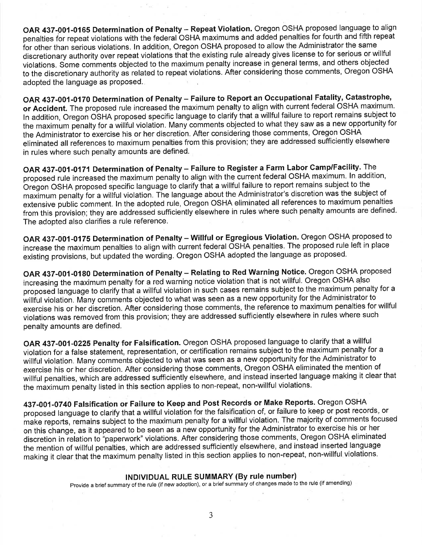OAR 437-001-0165 Determination of Penalty - Repeat Violation. Oregon OSHA proposed language to align penalties for repeat violations with the federal OSHA maximums and added penalties for fourth and fifth repeat for other than serious violations. In addition, Oregon OSHA proposed to allow the Administrator the same discretionary authority over repeat violations that the existing rule already gives license to for serious or willful violations. Some comments objected to the maximum penalty increase in general terms, and others objected to the discretionary authority as related to repeat violations. After considering those comments, Oregon OSHA adopted the language as proposed.

OAR 437-001-0170 Determination of Penalty - Failure to Report an Occupational Fatality, Catastrophe, or Accident. The proposed rule increased the maximum penalty to align with current federal OSHA maximum. In addition, Oregon OSHA proposed specific language to clarify that a willful failure to report remains subject to the maximum penalty for a willful violation. Many comments objected to what they saw as a new opportunity for the Administrator to exercise his or her discretion. After considering those comments, Oregon OSHA eliminated all references to maximum penalties from this provision; they are addressed sufficiently elsewhere in rules where such penalty amounts are defined.

OAR 437-001-0171 Determination of Penalty - Failure to Register a Farm Labor Camp/Facility. The proposed rule increased the maximum penalty to align with the current federal OSHA maximum. In addition, Oregon OSHA proposed specific language to clarify that a willful failure to report remains subject to the maximum penalty for a willful violation. The language about the Administrator's discretion was the subject of extensive public comment. In the adopted rule, Oregon OSHA eliminated all references to maximum penalties from this provision; they are addressed sufficiently elsewhere in rules where such penalty amounts are defined. The adopted also clarifies a rule reference.

OAR 437-001-0175 Determination of Penalty - Willful or Egregious Violation. Oregon OSHA proposed to increase the maximum penalties to align with current federal OSHA penalties. The proposed rule left in place existing provisions, but updated the wording. Oregon OSHA adopted the language as proposed.

OAR 437-001-0180 Determination of Penalty - Relating to Red Warning Notice. Oregon OSHA proposed increasing the maximum penalty for a red warning notice violation that is not willful. Oregon OSHA also proposed language to clarify that a willful violation in such cases remains subject to the maximum penalty for a willful violation. Many comments objected to what was seen as a new opportunity for the Administrator to exercise his or her discretion. After considering those comments, the reference to maximum penalties for willful violations was removed from this provision; they are addressed sufficiently elsewhere in rules where such penalty amounts are defined.

OAR 437-001-0225 Penalty for Falsification. Oregon OSHA proposed language to clarify that a willful violation for a false statement, representation, or certification remains subject to the maximum penalty for a willful violation. Many comments objected to what was seen as a new opportunity for the Administrator to exercise his or her discretion. After considering those comments, Oregon OSHA eliminated the mention of willful penalties, which are addressed sufficiently elsewhere, and instead inserted language making it clear that the maximum penalty listed in this section applies to non-repeat, non-willful violations.

437-001-0740 Falsification or Failure to Keep and Post Records or Make Reports. Oregon OSHA proposed language to clarify that a willful violation for the falsification of, or failure to keep or post records, or make reports, remains subject to the maximum penalty for a willful violation. The majority of comments focused on this change, as it appeared to be seen as a new opportunity for the Administrator to exercise his or her discretion in relation to "paperwork" violations. After considering those comments, Oregon OSHA eliminated the mention of willful penalties, which are addressed sufficiently elsewhere, and instead inserted language making it clear that the maximum penalty listed in this section applies to non-repeat, non-willful violations.

#### **INDIVIDUAL RULE SUMMARY (By rule number)**

Provide a brief summary of the rule (if new adoption), or a brief summary of changes made to the rule (if amending)

3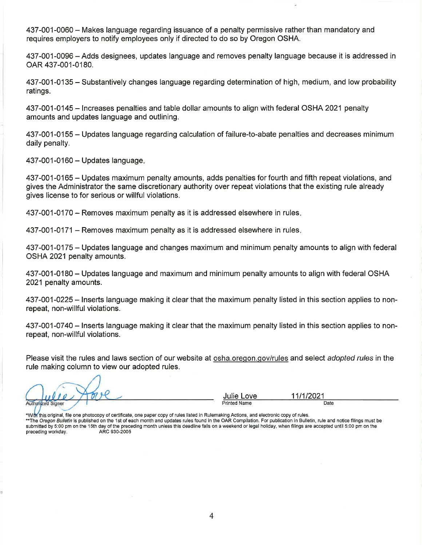437-001-0060 - Makes language regarding issuance of a penalty permissive rather than mandatory and requires employers to notify employees only if directed to do so by Oregon OSHA.

437-001-0096 – Adds designees, updates language and removes penalty language because it is addressed in OAR 437-001-0180.

437-001-0135 – Substantively changes language regarding determination of high, medium, and low probability ratings.

437-001-0145 – Increases penalties and table dollar amounts to align with federal OSHA 2021 penalty amounts and updates language and outlining.

437-001-0155 – Updates language regarding calculation of failure-to-abate penalties and decreases minimum daily penalty.

437-001-0160 - Updates language.

437-001-0165 – Updates maximum penalty amounts, adds penalties for fourth and fifth repeat violations, and gives the Administrator the same discretionary authority over repeat violations that the existing rule already gives license to for serious or willful violations.

437-001-0170 – Removes maximum penalty as it is addressed elsewhere in rules.

437-001-0171 - Removes maximum penalty as it is addressed elsewhere in rules.

437-001-0175 – Updates language and changes maximum and minimum penalty amounts to align with federal OSHA 2021 penalty amounts.

437-001-0180 – Updates language and maximum and minimum penalty amounts to align with federal OSHA 2021 penalty amounts.

437-001-0225 – Inserts language making it clear that the maximum penalty listed in this section applies to nonrepeat, non-willful violations.

437-001-0740 – Inserts language making it clear that the maximum penalty listed in this section applies to nonrepeat, non-willful violations.

Please visit the rules and laws section of our website at osha oregon gov/rules and select adopted rules in the rule making column to view our adopted rules.

Authorized Signer

Julie Love **Printed Name** 

11/1/2021 Date

\*With this original, file one photocopy of certificate, one paper copy of rules listed in Rulemaking Actions, and electronic copy of rules.

\*\* The Oregon Bulletin is published on the 1st of each month and updates rules found in the OAR Compilation. For publication in Bulletin, rule and notice filings must be submitted by 5:00 pm on the 15th day of the preceding month unless this deadline falls on a weekend or legal holiday, when filings are accepted until 5:00 pm on the ARC 930-2005 preceding workday.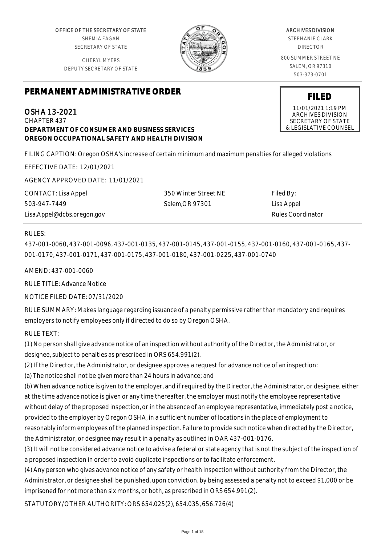OFFICE OF THE SECRETARY OF STATE SHEMIA FAGAN SECRETARY OF STATE

CHERYL MYERS DEPUTY SECRETARY OF STATE



#### ARCHIVES DIVISION

STEPHANIE CLARK DIRECTOR

800 SUMMER STREET NE SALEM, OR 97310 503-373-0701

**FILED** 11/01/2021 1:19 PM ARCHIVES DIVISION SECRETARY OF STATE & LEGISLATIVE COUNSEL

# **PERMANENT ADMINISTRATIVE ORDER**

OSHA 13-2021 CHAPTER 437 **DEPARTMENT OF CONSUMER AND BUSINESS SERVICES OREGON OCCUPATIONAL SAFETY AND HEALTH DIVISION**

FILING CAPTION: Oregon OSHA's increase of certain minimum and maximum penalties for alleged violations

EFFECTIVE DATE: 12/01/2021

AGENCY APPROVED DATE: 11/01/2021

CONTACT: Lisa Appel 503-947-7449 Lisa.Appel@dcbs.oregon.gov

350 Winter Street NE Salem,OR 97301

Filed By: Lisa Appel Rules Coordinator

#### RULES:

437-001-0060, 437-001-0096, 437-001-0135, 437-001-0145, 437-001-0155, 437-001-0160, 437-001-0165, 437- 001-0170, 437-001-0171, 437-001-0175, 437-001-0180, 437-001-0225, 437-001-0740

AMEND: 437-001-0060

RULE TITLE: Advance Notice

NOTICE FILED DATE: 07/31/2020

RULE SUMMARY: Makes language regarding issuance of a penalty permissive rather than mandatory and requires employers to notify employees only if directed to do so by Oregon OSHA.

RULE TEXT:

(1) No person shall give advance notice of an inspection without authority of the Director, the Administrator, or designee, subject to penalties as prescribed in ORS 654.991(2).

(2) If the Director, the Administrator, or designee approves a request for advance notice of an inspection:

(a) The notice shall not be given more than 24 hours in advance; and

(b) When advance notice is given to the employer, and if required by the Director, the Administrator, or designee, either at the time advance notice is given or any time thereafter, the employer must notify the employee representative without delay of the proposed inspection, or in the absence of an employee representative, immediately post a notice, provided to the employer by Oregon OSHA, in a sufficient number of locations in the place of employment to reasonably inform employees of the planned inspection. Failure to provide such notice when directed by the Director, the Administrator, or designee may result in a penalty as outlined in OAR 437-001-0176.

(3) It will not be considered advance notice to advise a federal or state agency that is not the subject of the inspection of a proposed inspection in order to avoid duplicate inspections or to facilitate enforcement.

(4) Any person who gives advance notice of any safety or health inspection without authority from the Director, the Administrator, or designee shall be punished, upon conviction, by being assessed a penalty not to exceed \$1,000 or be imprisoned for not more than six months, or both, as prescribed in ORS 654.991(2).

STATUTORY/OTHER AUTHORITY: ORS 654.025(2), 654.035, 656.726(4)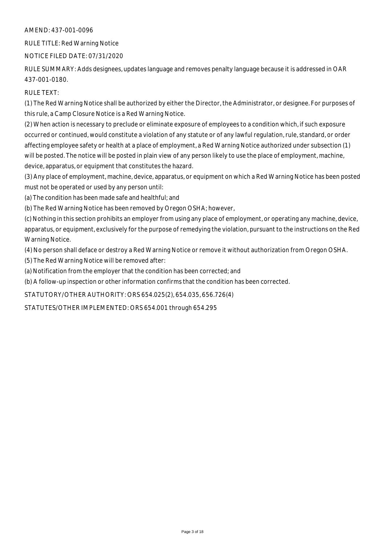RULE TITLE: Red Warning Notice

#### NOTICE FILED DATE: 07/31/2020

RULE SUMMARY: Adds designees, updates language and removes penalty language because it is addressed in OAR 437-001-0180.

RULE TEXT:

(1) The Red Warning Notice shall be authorized by either the Director, the Administrator, or designee. For purposes of this rule, a Camp Closure Notice is a Red Warning Notice.

(2) When action is necessary to preclude or eliminate exposure of employees to a condition which, if such exposure occurred or continued, would constitute a violation of any statute or of any lawful regulation, rule, standard, or order affecting employee safety or health at a place of employment, a Red Warning Notice authorized under subsection (1) will be posted. The notice will be posted in plain view of any person likely to use the place of employment, machine, device, apparatus, or equipment that constitutes the hazard.

(3) Any place of employment, machine, device, apparatus, or equipment on which a Red Warning Notice has been posted must not be operated or used by any person until:

(a) The condition has been made safe and healthful; and

(b) The Red Warning Notice has been removed by Oregon OSHA; however,

(c) Nothing in this section prohibits an employer from using any place of employment, or operating any machine, device, apparatus, or equipment, exclusively for the purpose of remedying the violation, pursuant to the instructions on the Red Warning Notice.

(4) No person shall deface or destroy a Red Warning Notice or remove it without authorization from Oregon OSHA.

(5) The Red Warning Notice will be removed after:

(a) Notification from the employer that the condition has been corrected; and

(b) A follow-up inspection or other information confirms that the condition has been corrected.

STATUTORY/OTHER AUTHORITY: ORS 654.025(2), 654.035, 656.726(4)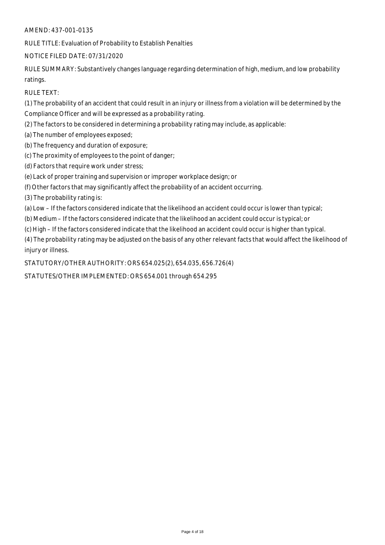RULE TITLE: Evaluation of Probability to Establish Penalties

#### NOTICE FILED DATE: 07/31/2020

RULE SUMMARY: Substantively changes language regarding determination of high, medium, and low probability ratings.

RULE TEXT:

(1) The probability of an accident that could result in an injury or illness from a violation will be determined by the Compliance Officer and will be expressed as a probability rating.

- (2) The factors to be considered in determining a probability rating may include, as applicable:
- (a) The number of employees exposed;
- (b) The frequency and duration of exposure;
- (c) The proximity of employees to the point of danger;
- (d) Factors that require work under stress;
- (e) Lack of proper training and supervision or improper workplace design; or
- (f) Other factors that may significantly affect the probability of an accident occurring.
- (3) The probability rating is:
- (a) Low If the factors considered indicate that the likelihood an accident could occur is lower than typical;
- (b) Medium If the factors considered indicate that the likelihood an accident could occur is typical; or
- (c) High If the factors considered indicate that the likelihood an accident could occur is higher than typical.

(4) The probability rating may be adjusted on the basis of any other relevant facts that would affect the likelihood of injury or illness.

STATUTORY/OTHER AUTHORITY: ORS 654.025(2), 654.035, 656.726(4)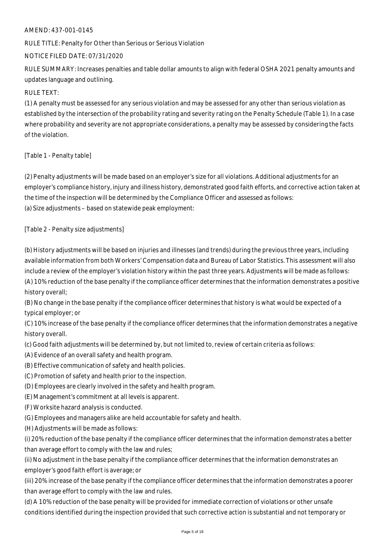RULE TITLE: Penalty for Other than Serious or Serious Violation

#### NOTICE FILED DATE: 07/31/2020

RULE SUMMARY: Increases penalties and table dollar amounts to align with federal OSHA 2021 penalty amounts and updates language and outlining.

## RULE TEXT:

(1) A penalty must be assessed for any serious violation and may be assessed for any other than serious violation as established by the intersection of the probability rating and severity rating on the Penalty Schedule (Table 1). In a case where probability and severity are not appropriate considerations, a penalty may be assessed by considering the facts of the violation.

## [Table 1 - Penalty table]

(2) Penalty adjustments will be made based on an employer's size for all violations. Additional adjustments for an employer's compliance history, injury and illness history, demonstrated good faith efforts, and corrective action taken at the time of the inspection will be determined by the Compliance Officer and assessed as follows: (a) Size adjustments – based on statewide peak employment:

## [Table 2 - Penalty size adjustments]

(b) History adjustments will be based on injuries and illnesses (and trends) during the previous three years, including available information from both Workers' Compensation data and Bureau of Labor Statistics. This assessment will also include a review of the employer's violation history within the past three years. Adjustments will be made as follows: (A) 10% reduction of the base penalty if the compliance officer determines that the information demonstrates a positive history overall;

(B) No change in the base penalty if the compliance officer determines that history is what would be expected of a typical employer; or

(C) 10% increase of the base penalty if the compliance officer determines that the information demonstrates a negative history overall.

(c) Good faith adjustments will be determined by, but not limited to, review of certain criteria as follows:

(A) Evidence of an overall safety and health program.

- (B) Effective communication of safety and health policies.
- (C) Promotion of safety and health prior to the inspection.
- (D) Employees are clearly involved in the safety and health program.
- (E) Management's commitment at all levels is apparent.
- (F) Worksite hazard analysis is conducted.
- (G) Employees and managers alike are held accountable for safety and health.
- (H) Adjustments will be made as follows:

(i) 20% reduction of the base penalty if the compliance officer determines that the information demonstrates a better than average effort to comply with the law and rules;

(ii) No adjustment in the base penalty if the compliance officer determines that the information demonstrates an employer's good faith effort is average; or

(iii) 20% increase of the base penalty if the compliance officer determines that the information demonstrates a poorer than average effort to comply with the law and rules.

(d) A 10% reduction of the base penalty will be provided for immediate correction of violations or other unsafe conditions identified during the inspection provided that such corrective action is substantial and not temporary or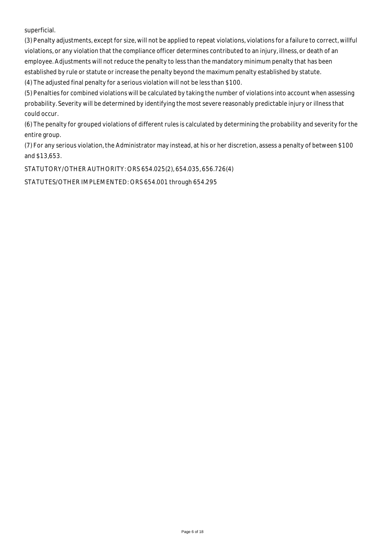superficial.

(3) Penalty adjustments, except for size, will not be applied to repeat violations, violations for a failure to correct, willful violations, or any violation that the compliance officer determines contributed to an injury, illness, or death of an employee. Adjustments will not reduce the penalty to less than the mandatory minimum penalty that has been established by rule or statute or increase the penalty beyond the maximum penalty established by statute. (4) The adjusted final penalty for a serious violation will not be less than \$100.

(5) Penalties for combined violations will be calculated by taking the number of violations into account when assessing probability. Severity will be determined by identifying the most severe reasonably predictable injury or illness that could occur.

(6) The penalty for grouped violations of different rules is calculated by determining the probability and severity for the entire group.

(7) For any serious violation, the Administrator may instead, at his or her discretion, assess a penalty of between \$100 and \$13,653.

STATUTORY/OTHER AUTHORITY: ORS 654.025(2), 654.035, 656.726(4)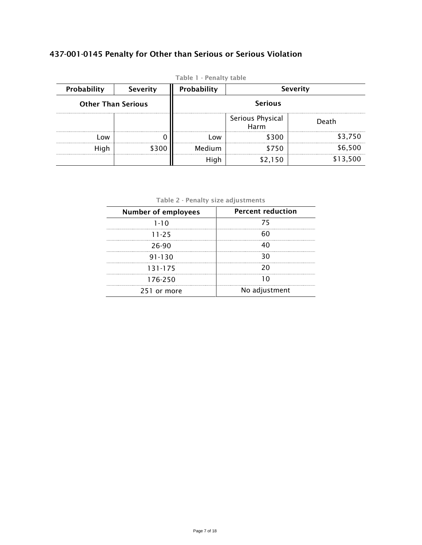## 437-001-0145 Penalty for Other than Serious or Serious Violation

| Probability               | <b>Severity</b> | <b>Severity</b><br>Probability |                          |          |
|---------------------------|-----------------|--------------------------------|--------------------------|----------|
| <b>Other Than Serious</b> |                 | <b>Serious</b>                 |                          |          |
|                           |                 |                                | Serious Physical<br>Harm | Death    |
| 0 <sub>W</sub>            |                 | <b>OW</b>                      | \$300                    | \$3,750  |
|                           | \$300           | Medium                         | \$750                    | \$6,500  |
|                           |                 | High                           | \$2,150                  | \$13,500 |

Table 1 - Penalty table

Table 2 - Penalty size adjustments

| <b>Percent reduction</b> |
|--------------------------|
| 75                       |
|                          |
| 40                       |
| 30                       |
| 20                       |
|                          |
| No adjustment            |
|                          |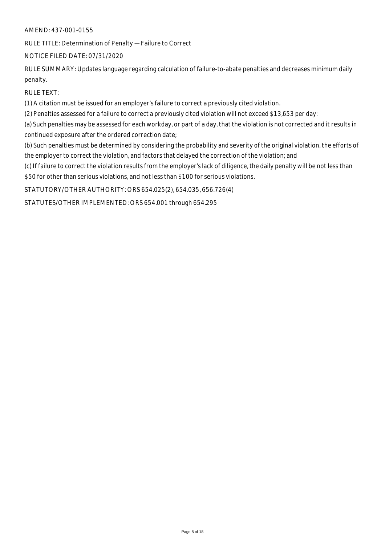RULE TITLE: Determination of Penalty — Failure to Correct

## NOTICE FILED DATE: 07/31/2020

RULE SUMMARY: Updates language regarding calculation of failure-to-abate penalties and decreases minimum daily penalty.

RULE TEXT:

(1) A citation must be issued for an employer's failure to correct a previously cited violation.

(2) Penalties assessed for a failure to correct a previously cited violation will not exceed \$13,653 per day:

(a) Such penalties may be assessed for each workday, or part of a day, that the violation is not corrected and it results in continued exposure after the ordered correction date;

(b) Such penalties must be determined by considering the probability and severity of the original violation, the efforts of the employer to correct the violation, and factors that delayed the correction of the violation; and

(c) If failure to correct the violation results from the employer's lack of diligence, the daily penalty will be not less than \$50 for other than serious violations, and not less than \$100 for serious violations.

STATUTORY/OTHER AUTHORITY: ORS 654.025(2), 654.035, 656.726(4)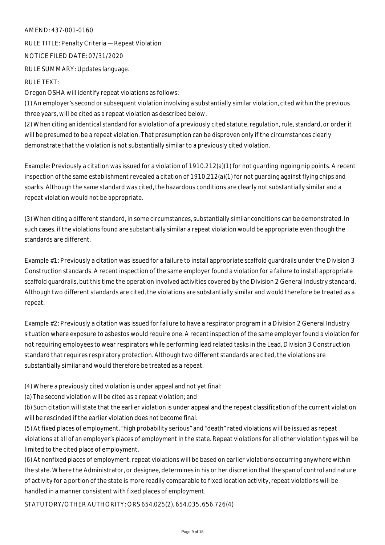RULE TITLE: Penalty Criteria — Repeat Violation NOTICE FILED DATE: 07/31/2020 RULE SUMMARY: Updates language.

#### RULE TEXT:

Oregon OSHA will identify repeat violations as follows:

(1) An employer's second or subsequent violation involving a substantially similar violation, cited within the previous three years, will be cited as a repeat violation as described below.

(2) When citing an identical standard for a violation of a previously cited statute, regulation, rule, standard, or order it will be presumed to be a repeat violation. That presumption can be disproven only if the circumstances clearly demonstrate that the violation is not substantially similar to a previously cited violation.

Example: Previously a citation was issued for a violation of 1910.212(a)(1) for not guarding ingoing nip points. A recent inspection of the same establishment revealed a citation of 1910.212(a)(1) for not guarding against flying chips and sparks. Although the same standard was cited, the hazardous conditions are clearly not substantially similar and a repeat violation would not be appropriate.

(3) When citing a different standard, in some circumstances, substantially similar conditions can be demonstrated. In such cases, if the violations found are substantially similar a repeat violation would be appropriate even though the standards are different.

Example #1: Previously a citation was issued for a failure to install appropriate scaffold guardrails under the Division 3 Construction standards. A recent inspection of the same employer found a violation for a failure to install appropriate scaffold guardrails, but this time the operation involved activities covered by the Division 2 General Industry standard. Although two different standards are cited, the violations are substantially similar and would therefore be treated as a repeat.

Example #2: Previously a citation was issued for failure to have a respirator program in a Division 2 General Industry situation where exposure to asbestos would require one. A recent inspection of the same employer found a violation for not requiring employees to wear respirators while performing lead related tasks in the Lead, Division 3 Construction standard that requires respiratory protection. Although two different standards are cited, the violations are substantially similar and would therefore be treated as a repeat.

(4) Where a previously cited violation is under appeal and not yet final:

(a) The second violation will be cited as a repeat violation; and

(b) Such citation will state that the earlier violation is under appeal and the repeat classification of the current violation will be rescinded if the earlier violation does not become final.

(5) At fixed places of employment, "high probability serious" and "death" rated violations will be issued as repeat violations at all of an employer's places of employment in the state. Repeat violations for all other violation types will be limited to the cited place of employment.

(6) At nonfixed places of employment, repeat violations will be based on earlier violations occurring anywhere within the state. Where the Administrator, or designee, determines in his or her discretion that the span of control and nature of activity for a portion of the state is more readily comparable to fixed location activity, repeat violations will be handled in a manner consistent with fixed places of employment.

STATUTORY/OTHER AUTHORITY: ORS 654.025(2), 654.035, 656.726(4)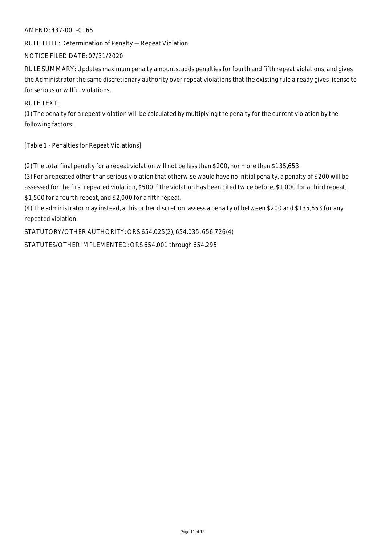RULE TITLE: Determination of Penalty — Repeat Violation

#### NOTICE FILED DATE: 07/31/2020

RULE SUMMARY: Updates maximum penalty amounts, adds penalties for fourth and fifth repeat violations, and gives the Administrator the same discretionary authority over repeat violations that the existing rule already gives license to for serious or willful violations.

RULE TEXT:

(1) The penalty for a repeat violation will be calculated by multiplying the penalty for the current violation by the following factors:

[Table 1 - Penalties for Repeat Violations]

(2) The total final penalty for a repeat violation will not be less than \$200, nor more than \$135,653.

(3) For a repeated other than serious violation that otherwise would have no initial penalty, a penalty of \$200 will be assessed for the first repeated violation, \$500 if the violation has been cited twice before, \$1,000 for a third repeat, \$1,500 for a fourth repeat, and \$2,000 for a fifth repeat.

(4) The administrator may instead, at his or her discretion, assess a penalty of between \$200 and \$135,653 for any repeated violation.

STATUTORY/OTHER AUTHORITY: ORS 654.025(2), 654.035, 656.726(4)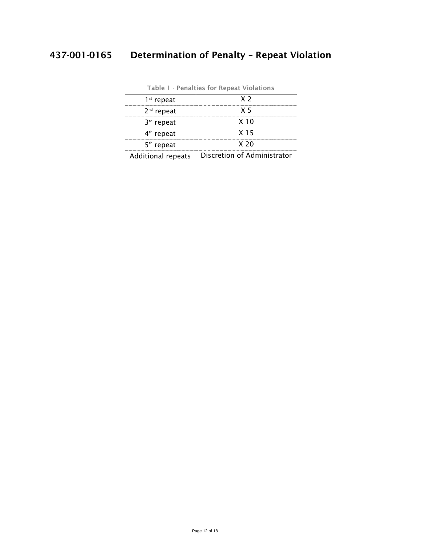# 437-001-0165 Determination of Penalty – Repeat Violation

| $1st$ repeat              | X <sub>2</sub>              |
|---------------------------|-----------------------------|
| $2nd$ repeat              | X 5                         |
| 3rd repeat                | X <sub>10</sub>             |
| 4 <sup>th</sup> repeat    | X 15                        |
| $5th$ repeat              | X <sub>20</sub>             |
| <b>Additional repeats</b> | Discretion of Administrator |

|  | Table 1 - Penalties for Repeat Violations |
|--|-------------------------------------------|
|--|-------------------------------------------|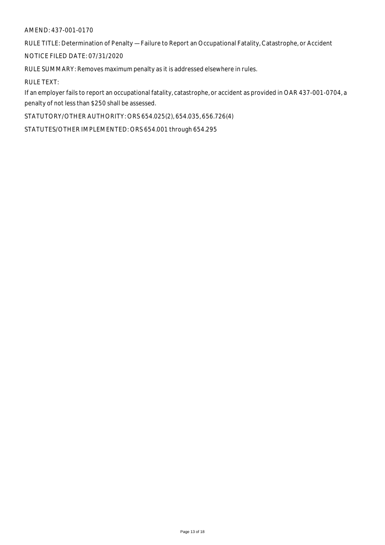RULE TITLE: Determination of Penalty — Failure to Report an Occupational Fatality, Catastrophe, or Accident

NOTICE FILED DATE: 07/31/2020

RULE SUMMARY: Removes maximum penalty as it is addressed elsewhere in rules.

RULE TEXT:

If an employer fails to report an occupational fatality, catastrophe, or accident as provided in OAR 437-001-0704, a penalty of not less than \$250 shall be assessed.

STATUTORY/OTHER AUTHORITY: ORS 654.025(2), 654.035, 656.726(4)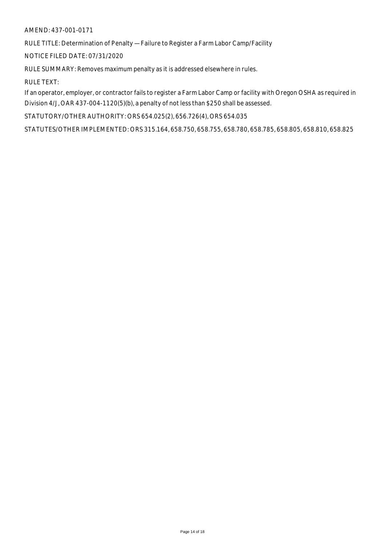RULE TITLE: Determination of Penalty — Failure to Register a Farm Labor Camp/Facility

NOTICE FILED DATE: 07/31/2020

RULE SUMMARY: Removes maximum penalty as it is addressed elsewhere in rules.

RULE TEXT:

If an operator, employer, or contractor fails to register a Farm Labor Camp or facility with Oregon OSHA as required in Division 4/J, OAR 437-004-1120(5)(b), a penalty of not less than \$250 shall be assessed.

STATUTORY/OTHER AUTHORITY: ORS 654.025(2), 656.726(4), ORS 654.035

STATUTES/OTHER IMPLEMENTED: ORS 315.164, 658.750, 658.755, 658.780, 658.785, 658.805, 658.810, 658.825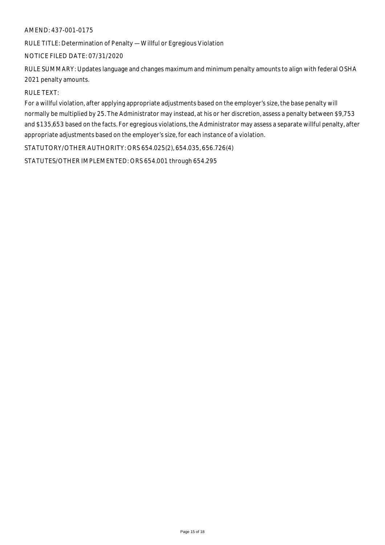RULE TITLE: Determination of Penalty — Willful or Egregious Violation

#### NOTICE FILED DATE: 07/31/2020

RULE SUMMARY: Updates language and changes maximum and minimum penalty amounts to align with federal OSHA 2021 penalty amounts.

#### RULE TEXT:

For a willful violation, after applying appropriate adjustments based on the employer's size, the base penalty will normally be multiplied by 25. The Administrator may instead, at his or her discretion, assess a penalty between \$9,753 and \$135,653 based on the facts. For egregious violations, the Administrator may assess a separate willful penalty, after appropriate adjustments based on the employer's size, for each instance of a violation.

STATUTORY/OTHER AUTHORITY: ORS 654.025(2), 654.035, 656.726(4)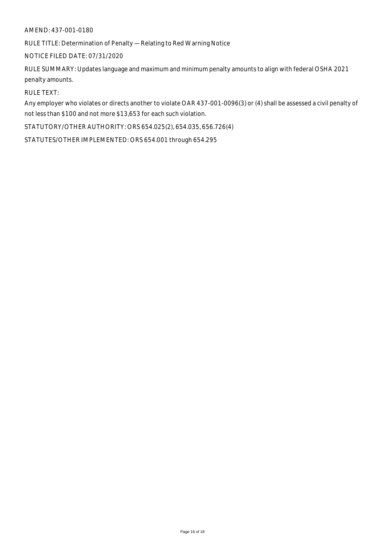RULE TITLE: Determination of Penalty — Relating to Red Warning Notice

#### NOTICE FILED DATE: 07/31/2020

RULE SUMMARY: Updates language and maximum and minimum penalty amounts to align with federal OSHA 2021 penalty amounts.

#### RULE TEXT:

Any employer who violates or directs another to violate OAR 437-001-0096(3) or (4) shall be assessed a civil penalty of not less than \$100 and not more \$13,653 for each such violation.

STATUTORY/OTHER AUTHORITY: ORS 654.025(2), 654.035, 656.726(4)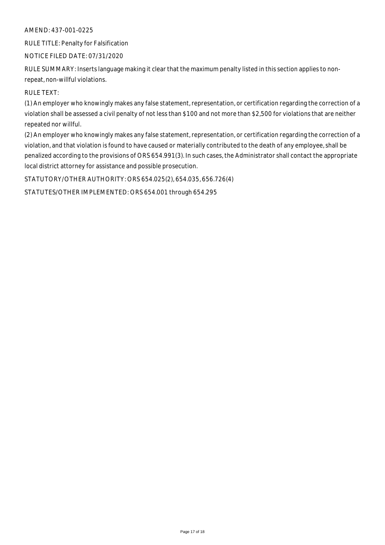RULE TITLE: Penalty for Falsification

#### NOTICE FILED DATE: 07/31/2020

RULE SUMMARY: Inserts language making it clear that the maximum penalty listed in this section applies to nonrepeat, non-willful violations.

RULE TEXT:

(1) An employer who knowingly makes any false statement, representation, or certification regarding the correction of a violation shall be assessed a civil penalty of not less than \$100 and not more than \$2,500 for violations that are neither repeated nor willful.

(2) An employer who knowingly makes any false statement, representation, or certification regarding the correction of a violation, and that violation is found to have caused or materially contributed to the death of any employee, shall be penalized according to the provisions of ORS 654.991(3). In such cases, the Administrator shall contact the appropriate local district attorney for assistance and possible prosecution.

STATUTORY/OTHER AUTHORITY: ORS 654.025(2), 654.035, 656.726(4)